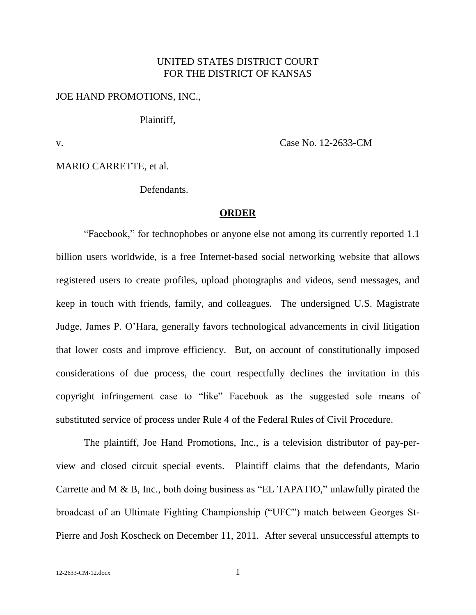## UNITED STATES DISTRICT COURT FOR THE DISTRICT OF KANSAS

## JOE HAND PROMOTIONS, INC.,

Plaintiff,

v. Case No. 12-2633-CM

MARIO CARRETTE, et al.

**Defendants** 

## **ORDER**

"Facebook," for technophobes or anyone else not among its currently reported 1.1 billion users worldwide, is a free Internet-based social networking website that allows registered users to create profiles, upload photographs and videos, send messages, and keep in touch with friends, family, and colleagues. The undersigned U.S. Magistrate Judge, James P. O'Hara, generally favors technological advancements in civil litigation that lower costs and improve efficiency. But, on account of constitutionally imposed considerations of due process, the court respectfully declines the invitation in this copyright infringement case to "like" Facebook as the suggested sole means of substituted service of process under Rule 4 of the Federal Rules of Civil Procedure.

The plaintiff, Joe Hand Promotions, Inc., is a television distributor of pay-perview and closed circuit special events. Plaintiff claims that the defendants, Mario Carrette and M & B, Inc., both doing business as "EL TAPATIO," unlawfully pirated the broadcast of an Ultimate Fighting Championship ("UFC") match between Georges St-Pierre and Josh Koscheck on December 11, 2011. After several unsuccessful attempts to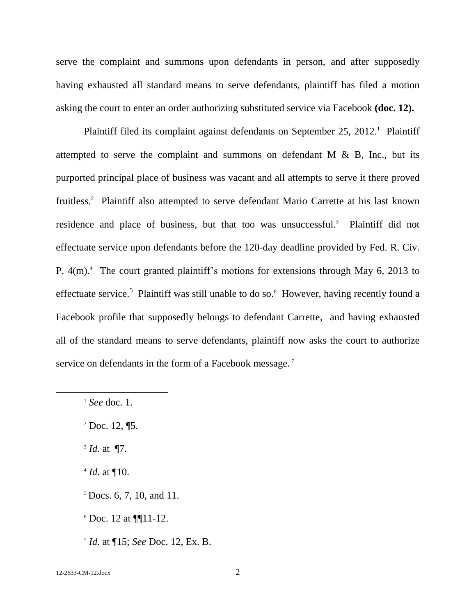serve the complaint and summons upon defendants in person, and after supposedly having exhausted all standard means to serve defendants, plaintiff has filed a motion asking the court to enter an order authorizing substituted service via Facebook **(doc. 12).**

Plaintiff filed its complaint against defendants on September 25, 2012.<sup>1</sup> Plaintiff attempted to serve the complaint and summons on defendant  $M \& B$ , Inc., but its purported principal place of business was vacant and all attempts to serve it there proved fruitless.<sup>2</sup> Plaintiff also attempted to serve defendant Mario Carrette at his last known residence and place of business, but that too was unsuccessful.<sup>3</sup> Plaintiff did not effectuate service upon defendants before the 120-day deadline provided by Fed. R. Civ. P.  $4(m)$ <sup>4</sup>. The court granted plaintiff's motions for extensions through May 6, 2013 to effectuate service.<sup>5</sup> Plaintiff was still unable to do so.<sup>6</sup> However, having recently found a Facebook profile that supposedly belongs to defendant Carrette, and having exhausted all of the standard means to serve defendants, plaintiff now asks the court to authorize service on defendants in the form of a Facebook message.<sup>7</sup>

l

<sup>1</sup> *See* doc. 1.

 $2$  Doc. 12,  $\P$ 5.

<sup>3</sup> *Id.* at ¶7.

 $^{4}$  *Id.* at  $\P$ 10.

 $5$  Docs. 6, 7, 10, and 11.

 $6$  Doc. 12 at  $\P\P11-12$ .

<sup>7</sup> *Id.* at ¶15; *See* Doc. 12, Ex. B.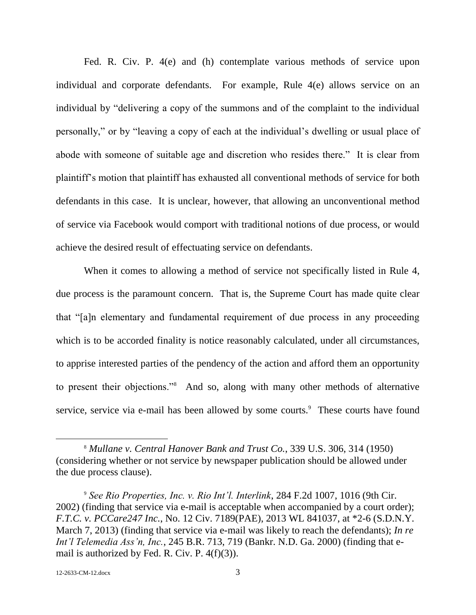Fed. R. Civ. P. 4(e) and (h) contemplate various methods of service upon individual and corporate defendants. For example, Rule 4(e) allows service on an individual by "delivering a copy of the summons and of the complaint to the individual personally," or by "leaving a copy of each at the individual's dwelling or usual place of abode with someone of suitable age and discretion who resides there." It is clear from plaintiff's motion that plaintiff has exhausted all conventional methods of service for both defendants in this case. It is unclear, however, that allowing an unconventional method of service via Facebook would comport with traditional notions of due process, or would achieve the desired result of effectuating service on defendants.

When it comes to allowing a method of service not specifically listed in Rule 4, due process is the paramount concern. That is, the Supreme Court has made quite clear that "[a]n elementary and fundamental requirement of due process in any proceeding which is to be accorded finality is notice reasonably calculated, under all circumstances, to apprise interested parties of the pendency of the action and afford them an opportunity to present their objections."<sup>8</sup> And so, along with many other methods of alternative service, service via e-mail has been allowed by some courts.<sup>9</sup> These courts have found

l

<sup>8</sup> *Mullane v. Central Hanover Bank and Trust Co.*, 339 U.S. 306, 314 (1950) (considering whether or not service by newspaper publication should be allowed under the due process clause).

<sup>9</sup> *See Rio Properties, Inc. v. Rio Int'l. Interlink*, 284 F.2d 1007, 1016 (9th Cir. 2002) (finding that service via e-mail is acceptable when accompanied by a court order); *F.T.C. v. PCCare247 Inc.*, No. 12 Civ. 7189(PAE), 2013 WL 841037, at \*2-6 (S.D.N.Y. March 7, 2013) (finding that service via e-mail was likely to reach the defendants); *In re Int'l Telemedia Ass'n, Inc.*, 245 B.R. 713, 719 (Bankr. N.D. Ga. 2000) (finding that email is authorized by Fed. R. Civ. P. 4(f)(3)).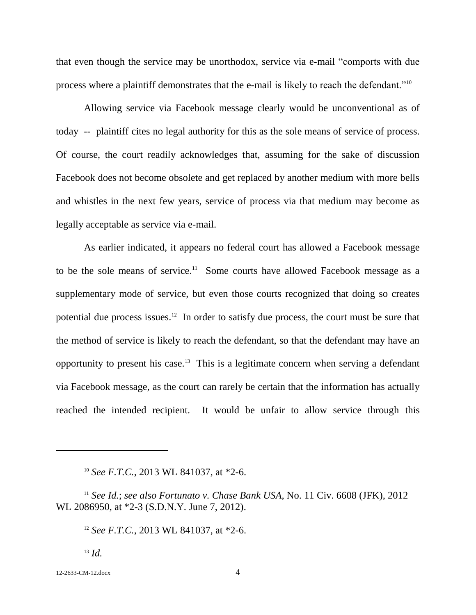that even though the service may be unorthodox, service via e-mail "comports with due process where a plaintiff demonstrates that the e-mail is likely to reach the defendant."<sup>10</sup>

Allowing service via Facebook message clearly would be unconventional as of today -- plaintiff cites no legal authority for this as the sole means of service of process. Of course, the court readily acknowledges that, assuming for the sake of discussion Facebook does not become obsolete and get replaced by another medium with more bells and whistles in the next few years, service of process via that medium may become as legally acceptable as service via e-mail.

As earlier indicated, it appears no federal court has allowed a Facebook message to be the sole means of service.<sup>11</sup> Some courts have allowed Facebook message as a supplementary mode of service, but even those courts recognized that doing so creates potential due process issues.<sup>12</sup> In order to satisfy due process, the court must be sure that the method of service is likely to reach the defendant, so that the defendant may have an opportunity to present his case.<sup>13</sup> This is a legitimate concern when serving a defendant via Facebook message, as the court can rarely be certain that the information has actually reached the intended recipient. It would be unfair to allow service through this

<sup>13</sup> *Id.*

12-2633-CM-12.docx 4

l

<sup>10</sup> *See F.T.C.*, 2013 WL 841037, at \*2-6.

<sup>11</sup> *See Id.*; *see also Fortunato v. Chase Bank USA,* No. 11 Civ. 6608 (JFK), 2012 WL 2086950, at \*2-3 (S.D.N.Y. June 7, 2012).

<sup>12</sup> *See F.T.C.*, 2013 WL 841037, at \*2-6.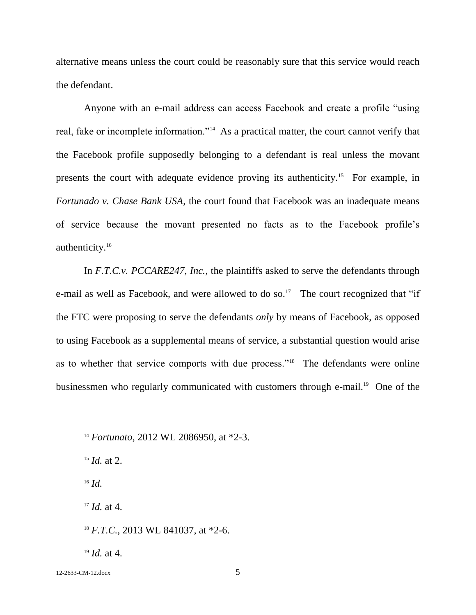alternative means unless the court could be reasonably sure that this service would reach the defendant.

Anyone with an e-mail address can access Facebook and create a profile "using real, fake or incomplete information."<sup>14</sup> As a practical matter, the court cannot verify that the Facebook profile supposedly belonging to a defendant is real unless the movant presents the court with adequate evidence proving its authenticity.<sup>15</sup> For example, in *Fortunado v. Chase Bank USA*, the court found that Facebook was an inadequate means of service because the movant presented no facts as to the Facebook profile's authenticity.<sup>16</sup>

In *F.T.C.v. PCCARE247, Inc.*, the plaintiffs asked to serve the defendants through e-mail as well as Facebook, and were allowed to do so.<sup>17</sup> The court recognized that "if the FTC were proposing to serve the defendants *only* by means of Facebook, as opposed to using Facebook as a supplemental means of service, a substantial question would arise as to whether that service comports with due process."<sup>18</sup> The defendants were online businessmen who regularly communicated with customers through e-mail.<sup>19</sup> One of the

<sup>15</sup> *Id.* at 2.

<sup>16</sup> *Id.*

l

<sup>17</sup> *Id.* at 4.

<sup>18</sup> *F.T.C.*, 2013 WL 841037, at \*2-6.

<sup>19</sup> *Id.* at 4.

12-2633-CM-12.docx 5

<sup>14</sup> *Fortunato,* 2012 WL 2086950, at \*2-3.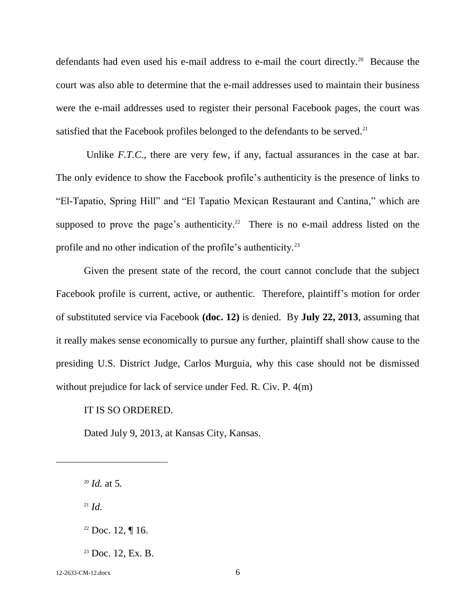defendants had even used his e-mail address to e-mail the court directly.<sup>20</sup> Because the court was also able to determine that the e-mail addresses used to maintain their business were the e-mail addresses used to register their personal Facebook pages, the court was satisfied that the Facebook profiles belonged to the defendants to be served.<sup>21</sup>

Unlike *F.T.C.*, there are very few, if any, factual assurances in the case at bar. The only evidence to show the Facebook profile's authenticity is the presence of links to "El-Tapatio, Spring Hill" and "El Tapatio Mexican Restaurant and Cantina," which are supposed to prove the page's authenticity.<sup>22</sup> There is no e-mail address listed on the profile and no other indication of the profile's authenticity.<sup>23</sup>

Given the present state of the record, the court cannot conclude that the subject Facebook profile is current, active, or authentic. Therefore, plaintiff's motion for order of substituted service via Facebook **(doc. 12)** is denied. By **July 22, 2013**, assuming that it really makes sense economically to pursue any further, plaintiff shall show cause to the presiding U.S. District Judge, Carlos Murguia, why this case should not be dismissed without prejudice for lack of service under Fed. R. Civ. P. 4(m)

## IT IS SO ORDERED.

Dated July 9, 2013, at Kansas City, Kansas.

 $^{21}$  *Id.* 

l

12-2633-CM-12.docx 6

<sup>20</sup> *Id.* at 5*.* 

 $22$  Doc. 12, ¶ 16.

 $23$  Doc. 12, Ex. B.